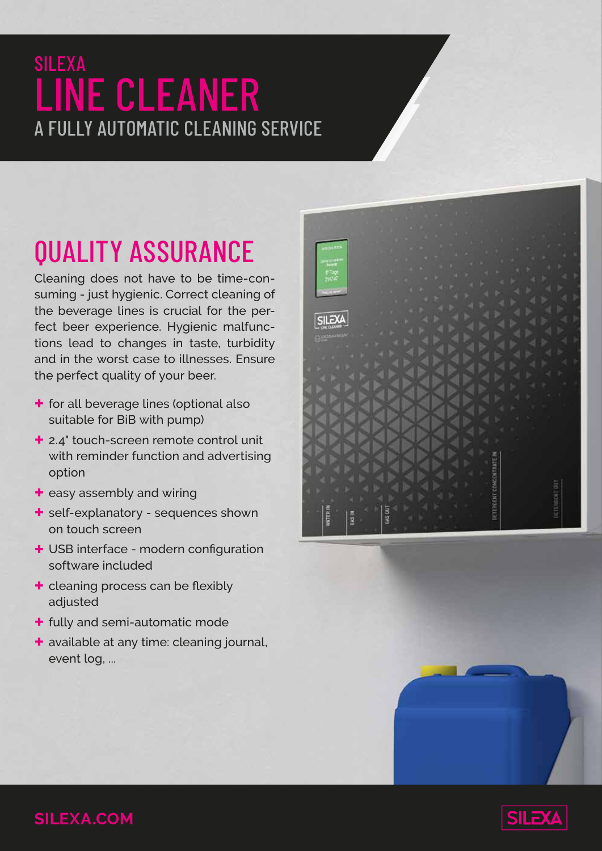### SILEXA LINE CLEANER A FULLY AUTOMATIC CLEANING SERVICE

# QUALITY ASSURANCE

Cleaning does not have to be time-consuming - just hygienic. Correct cleaning of the beverage lines is crucial for the perfect beer experience. Hygienic malfunctions lead to changes in taste, turbidity and in the worst case to illnesses. Ensure the perfect quality of your beer.

- **+** for all beverage lines (optional also suitable for BiB with pump)
- **+** 2.4" touch-screen remote control unit with reminder function and advertising option
- **+** easy assembly and wiring
- **+** self-explanatory sequences shown on touch screen
- **+** USB interface modern configuration software included
- **+** cleaning process can be flexibly adjusted
- **+** fully and semi-automatic mode
- **+** available at any time: cleaning journal, event log, ...